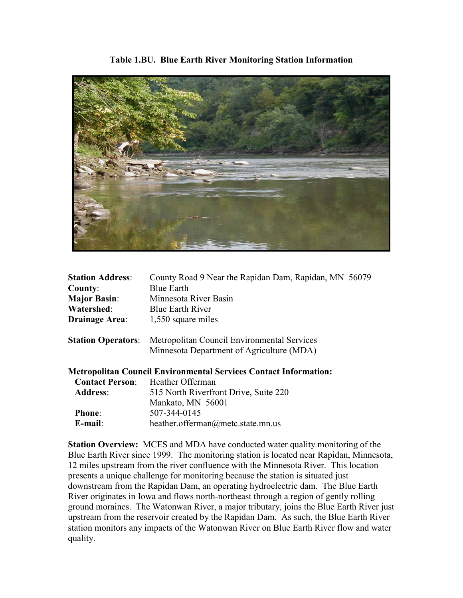

| <b>Station Address:</b> | County Road 9 Near the Rapidan Dam, Rapidan, MN 56079                 |
|-------------------------|-----------------------------------------------------------------------|
| County:                 | <b>Blue Earth</b>                                                     |
| <b>Major Basin:</b>     | Minnesota River Basin                                                 |
| Watershed:              | <b>Blue Earth River</b>                                               |
| <b>Drainage Area:</b>   | 1,550 square miles                                                    |
|                         | <b>Station Operators:</b> Metropolitan Council Environmental Services |

Minnesota Department of Agriculture (MDA)

**Metropolitan Council Environmental Services Contact Information:**

| <b>Contact Person:</b> | Heather Offerman                      |
|------------------------|---------------------------------------|
| <b>Address:</b>        | 515 North Riverfront Drive, Suite 220 |
|                        | Mankato, MN 56001                     |
| <b>Phone:</b>          | 507-344-0145                          |
| $E$ -mail:             | heather.offerman@metc.state.mn.us     |

**Station Overview:** MCES and MDA have conducted water quality monitoring of the Blue Earth River since 1999. The monitoring station is located near Rapidan, Minnesota, 12 miles upstream from the river confluence with the Minnesota River. This location presents a unique challenge for monitoring because the station is situated just downstream from the Rapidan Dam, an operating hydroelectric dam. The Blue Earth River originates in Iowa and flows north-northeast through a region of gently rolling ground moraines. The Watonwan River, a major tributary, joins the Blue Earth River just upstream from the reservoir created by the Rapidan Dam. As such, the Blue Earth River station monitors any impacts of the Watonwan River on Blue Earth River flow and water quality.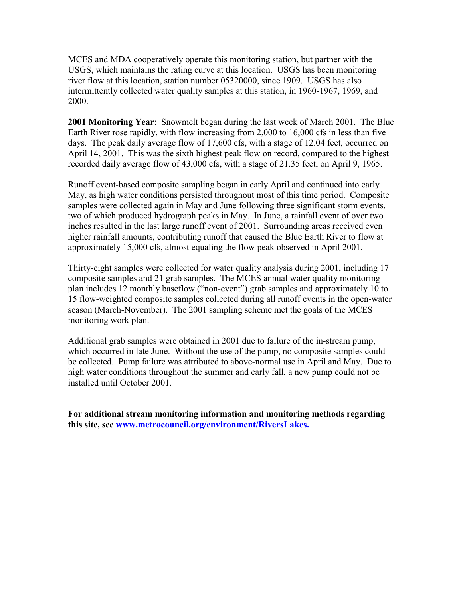MCES and MDA cooperatively operate this monitoring station, but partner with the USGS, which maintains the rating curve at this location. USGS has been monitoring river flow at this location, station number 05320000, since 1909. USGS has also intermittently collected water quality samples at this station, in 1960-1967, 1969, and 2000.

**2001 Monitoring Year**:Snowmelt began during the last week of March 2001. The Blue Earth River rose rapidly, with flow increasing from 2,000 to 16,000 cfs in less than five days. The peak daily average flow of 17,600 cfs, with a stage of 12.04 feet, occurred on April 14, 2001. This was the sixth highest peak flow on record, compared to the highest recorded daily average flow of 43,000 cfs, with a stage of 21.35 feet, on April 9, 1965.

Runoff event-based composite sampling began in early April and continued into early May, as high water conditions persisted throughout most of this time period. Composite samples were collected again in May and June following three significant storm events, two of which produced hydrograph peaks in May. In June, a rainfall event of over two inches resulted in the last large runoff event of 2001. Surrounding areas received even higher rainfall amounts, contributing runoff that caused the Blue Earth River to flow at approximately 15,000 cfs, almost equaling the flow peak observed in April 2001.

Thirty-eight samples were collected for water quality analysis during 2001, including 17 composite samples and 21 grab samples. The MCES annual water quality monitoring plan includes 12 monthly baseflow ("non-event") grab samples and approximately 10 to 15 flow-weighted composite samples collected during all runoff events in the open-water season (March-November). The 2001 sampling scheme met the goals of the MCES monitoring work plan.

Additional grab samples were obtained in 2001 due to failure of the in-stream pump, which occurred in late June. Without the use of the pump, no composite samples could be collected. Pump failure was attributed to above-normal use in April and May. Due to high water conditions throughout the summer and early fall, a new pump could not be installed until October 2001.

**For additional stream monitoring information and monitoring methods regarding this site, see www.metrocouncil.org/environment/RiversLakes.**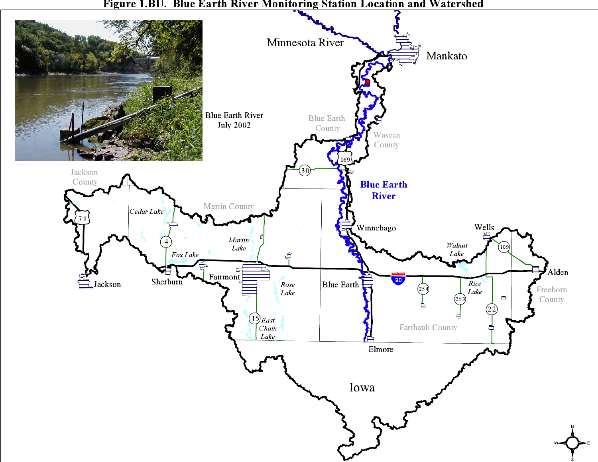

Figure 1.BU. Blue Earth River Monitoring Station Location and Watershed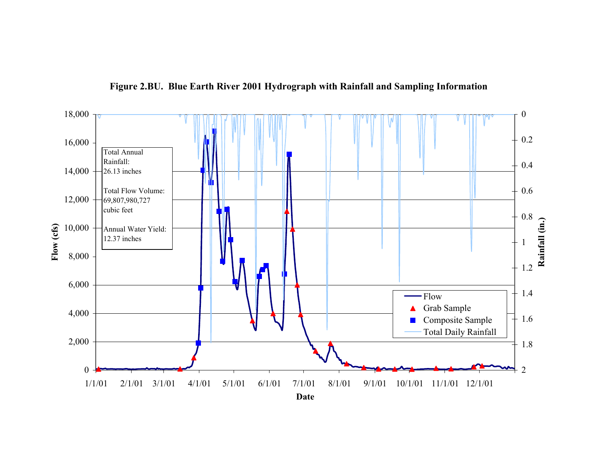

**Figure 2.BU. Blue Earth River 2001 Hydrograph with Rainfall and Sampling Information**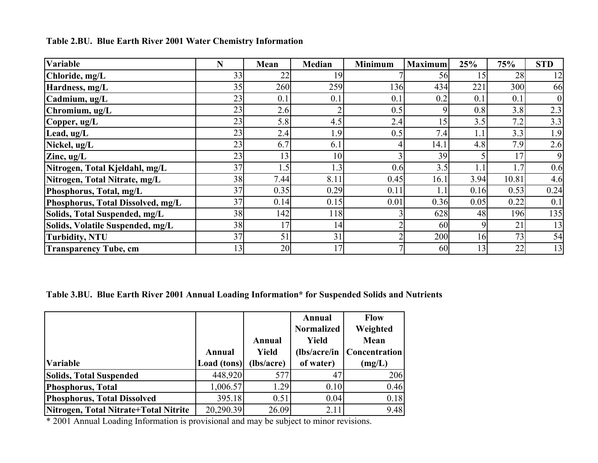| <b>Variable</b>                   | N  | Mean | <b>Median</b>  | <b>Minimum</b> | <b>Maximum</b> | 25%     | 75%   | <b>STD</b> |
|-----------------------------------|----|------|----------------|----------------|----------------|---------|-------|------------|
| Chloride, mg/L                    | 33 | 22   | 19             |                | 56             | 15      | 28    | 12         |
| Hardness, mg/L                    | 35 | 260  | 259            | 136            | 434            | 221     | 300   | 66         |
| Cadmium, ug/L                     | 23 | 0.1  | 0.1            | $0$ .          | 0.2            | 0.1     | 0.1   |            |
| Chromium, ug/L                    | 23 | 2.6  | $\overline{2}$ | 0.5            |                | 0.8     | 3.8   | 2.3        |
| Copper, ug/L                      | 23 | 5.8  | 4.5            | 2.4            | 15             | 3.5     | 7.2   | 3.3        |
| Lead, ug/L                        | 23 | 2.4  | 1.9            | 0.5            | 7.4            | $1.1\,$ | 3.3   | 1.9        |
| Nickel, ug/L                      | 23 | 6.7  | 6.1            |                | 14.1           | 4.8     | 7.9   | 2.6        |
| Zinc, $ug/L$                      | 23 | 13   | 10             |                | 39             |         | 17    | 9          |
| Nitrogen, Total Kjeldahl, mg/L    | 37 | 1.5  | 1.3            | 0.6            | 3.5            |         | 1.7   | 0.6        |
| Nitrogen, Total Nitrate, mg/L     | 38 | 7.44 | 8.11           | 0.45           | 16.1           | 3.94    | 10.81 | 4.6        |
| Phosphorus, Total, mg/L           | 37 | 0.35 | 0.29           | 0.11           |                | 0.16    | 0.53  | 0.24       |
| Phosphorus, Total Dissolved, mg/L | 37 | 0.14 | 0.15           | 0.01           | 0.36           | 0.05    | 0.22  | 0.1        |
| Solids, Total Suspended, mg/L     | 38 | 142  | 118            |                | 628            | 48      | 196   | 135        |
| Solids, Volatile Suspended, mg/L  | 38 | 17   | 14             |                | 60             |         | 21    | 13         |
| <b>Turbidity, NTU</b>             | 37 | 51   | 31             |                | 200            | 16      | 73    | 54         |
| <b>Transparency Tube, cm</b>      | 13 | 20   | 17             |                | 60             | 3       | 22    | 13         |

**Table 2.BU. Blue Earth River 2001 Water Chemistry Information**

**Table 3.BU. Blue Earth River 2001 Annual Loading Information\* for Suspended Solids and Nutrients**

|                                       |             |              | Annual            | <b>Flow</b>   |
|---------------------------------------|-------------|--------------|-------------------|---------------|
|                                       |             |              | <b>Normalized</b> | Weighted      |
|                                       |             | Annual       | Yield             | Mean          |
|                                       | Annual      | <b>Yield</b> | $(lbs/acre/in$    | Concentration |
| <b>Variable</b>                       | Load (tons) | (lbs/acre)   | of water)         | (mg/L)        |
| <b>Solids, Total Suspended</b>        | 448,920     | 577          | 47                | 206           |
| Phosphorus, Total                     | 1,006.57    | 1.29         | 0.10              | 0.46          |
| Phosphorus, Total Dissolved           | 395.18      | 0.51         | 0.04              | 0.18          |
| Nitrogen, Total Nitrate+Total Nitrite | 20,290.39   | 26.09        | 2.11              | 9.48          |

\* 2001 Annual Loading Information is provisional and may be subject to minor revisions.